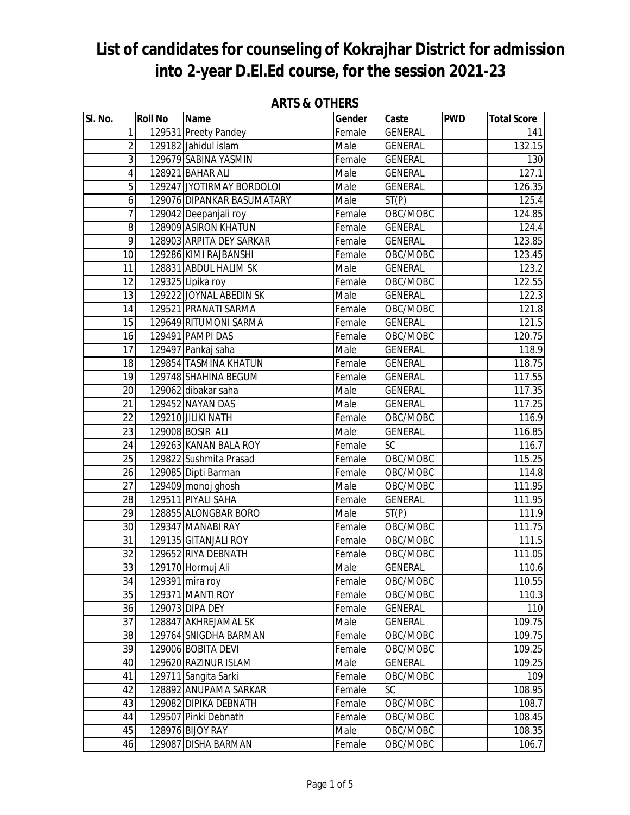| SI. No.        | <b>Roll No</b> | <b>Name</b>                | Gender | Caste          | <b>PWD</b> | <b>Total Score</b> |
|----------------|----------------|----------------------------|--------|----------------|------------|--------------------|
| 1              |                | 129531 Preety Pandey       | Female | GENERAL        |            | 141                |
| $\overline{2}$ |                | 129182 Jahidul islam       | Male   | <b>GENERAL</b> |            | 132.15             |
| 3              |                | 129679 SABINA YASMIN       | Female | <b>GENERAL</b> |            | 130                |
| 4              |                | 128921 BAHAR ALI           | Male   | <b>GENERAL</b> |            | 127.1              |
| 5              |                | 129247 JYOTIRMAY BORDOLOI  | Male   | <b>GENERAL</b> |            | 126.35             |
| 6              |                | 129076 DIPANKAR BASUMATARY | Male   | ST(P)          |            | 125.4              |
| 7              |                | 129042 Deepanjali roy      | Female | OBC/MOBC       |            | 124.85             |
| 8              |                | 128909 ASIRON KHATUN       | Female | <b>GENERAL</b> |            | 124.4              |
| 9              |                | 128903 ARPITA DEY SARKAR   | Female | <b>GENERAL</b> |            | 123.85             |
| 10             |                | 129286 KIMI RAJBANSHI      | Female | OBC/MOBC       |            | 123.45             |
| 11             |                | 128831 ABDUL HALIM SK      | Male   | GENERAL        |            | 123.2              |
| 12             |                | 129325 Lipika roy          | Female | OBC/MOBC       |            | 122.55             |
| 13             |                | 129222 JOYNAL ABEDIN SK    | Male   | <b>GENERAL</b> |            | 122.3              |
| 14             |                | 129521 PRANATI SARMA       | Female | OBC/MOBC       |            | 121.8              |
| 15             |                | 129649 RITUMONI SARMA      | Female | <b>GENERAL</b> |            | 121.5              |
| 16             |                | 129491 PAMPI DAS           | Female | OBC/MOBC       |            | 120.75             |
| 17             |                | 129497 Pankaj saha         | Male   | <b>GENERAL</b> |            | 118.9              |
| 18             |                | 129854 TASMINA KHATUN      | Female | GENERAL        |            | 118.75             |
| 19             |                | 129748 SHAHINA BEGUM       | Female | <b>GENERAL</b> |            | 117.55             |
| 20             |                | 129062 dibakar saha        | Male   | <b>GENERAL</b> |            | 117.35             |
| 21             |                | 129452 NAYAN DAS           | Male   | <b>GENERAL</b> |            | 117.25             |
| 22             |                | 129210 JILIKI NATH         | Female | OBC/MOBC       |            | 116.9              |
| 23             |                | 129008 BOSIR ALI           | Male   | <b>GENERAL</b> |            | 116.85             |
| 24             |                | 129263 KANAN BALA ROY      | Female | SC             |            | 116.7              |
| 25             |                | 129822 Sushmita Prasad     | Female | OBC/MOBC       |            | 115.25             |
| 26             |                | 129085 Dipti Barman        | Female | OBC/MOBC       |            | $\overline{114.8}$ |
| 27             |                | 129409 monoj ghosh         | Male   | OBC/MOBC       |            | 111.95             |
| 28             |                | 129511 PIYALI SAHA         | Female | <b>GENERAL</b> |            | 111.95             |
| 29             |                | 128855 ALONGBAR BORO       | Male   | ST(P)          |            | 111.9              |
| 30             |                | 129347 MANABI RAY          | Female | OBC/MOBC       |            | 111.75             |
| 31             |                | 129135 GITANJALI ROY       | Female | OBC/MOBC       |            | 111.5              |
| 32             |                | 129652 RIYA DEBNATH        | Female | OBC/MOBC       |            | 111.05             |
| 33             |                | 129170 Hormuj Ali          | Male   | <b>GENERAL</b> |            | 110.6              |
| 34             |                | 129391 mira roy            | Female | OBC/MOBC       |            | 110.55             |
| 35             |                | 129371 MANTI ROY           | Female | OBC/MOBC       |            | 110.3              |
| 36             |                | 129073 DIPA DEY            | Female | <b>GENERAL</b> |            | 110                |
| 37             |                | 128847 AKHREJAMAL SK       | Male   | <b>GENERAL</b> |            | 109.75             |
| 38             |                | 129764 SNIGDHA BARMAN      | Female | OBC/MOBC       |            | 109.75             |
| 39             |                | 129006 BOBITA DEVI         | Female | OBC/MOBC       |            | 109.25             |
| 40             |                | 129620 RAZINUR ISLAM       | Male   | <b>GENERAL</b> |            | 109.25             |
| 41             |                | 129711 Sangita Sarki       | Female | OBC/MOBC       |            | 109                |
| 42             |                | 128892 ANUPAMA SARKAR      | Female | <b>SC</b>      |            | 108.95             |
| 43             |                | 129082 DIPIKA DEBNATH      | Female | OBC/MOBC       |            | 108.7              |
| 44             |                | 129507 Pinki Debnath       | Female | OBC/MOBC       |            | 108.45             |
| 45             |                | 128976 BIJOY RAY           | Male   | OBC/MOBC       |            | 108.35             |
| 46             |                | 129087 DISHA BARMAN        | Female | OBC/MOBC       |            | 106.7              |

#### **ARTS & OTHERS**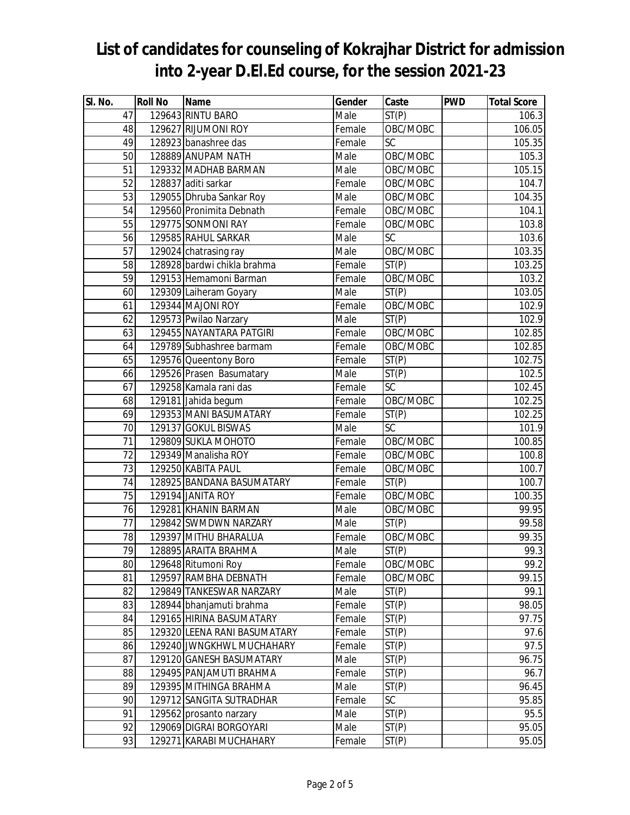| SI. No. | <b>Roll No</b> | <b>Name</b>                  | Gender | Caste              | <b>PWD</b> | <b>Total Score</b> |
|---------|----------------|------------------------------|--------|--------------------|------------|--------------------|
| 47      |                | 129643 RINTU BARO            | Male   | ST(P)              |            | 106.3              |
| 48      |                | 129627 RIJUMONI ROY          | Female | OBC/MOBC           |            | 106.05             |
| 49      |                | 128923 banashree das         | Female | SC                 |            | 105.35             |
| 50      |                | 128889 ANUPAM NATH           | Male   | OBC/MOBC           |            | 105.3              |
| 51      |                | 129332 MADHAB BARMAN         | Male   | OBC/MOBC           |            | 105.15             |
| 52      |                | 128837 aditi sarkar          | Female | OBC/MOBC           |            | 104.7              |
| 53      |                | 129055 Dhruba Sankar Roy     | Male   | OBC/MOBC           |            | 104.35             |
| 54      |                | 129560 Pronimita Debnath     | Female | OBC/MOBC           |            | 104.1              |
| 55      |                | 129775 SONMONI RAY           | Female | OBC/MOBC           |            | 103.8              |
| 56      |                | 129585 RAHUL SARKAR          | Male   | <b>SC</b>          |            | 103.6              |
| 57      |                | 129024 chatrasing ray        | Male   | OBC/MOBC           |            | 103.35             |
| 58      |                | 128928 bardwi chikla brahma  | Female | ST(P)              |            | 103.25             |
| 59      |                | 129153 Hemamoni Barman       | Female | OBC/MOBC           |            | 103.2              |
| 60      |                | 129309 Laiheram Goyary       | Male   | ST(P)              |            | 103.05             |
| 61      |                | 129344 MAJONI ROY            | Female | OBC/MOBC           |            | 102.9              |
| 62      |                | 129573 Pwilao Narzary        | Male   | ST(P)              |            | 102.9              |
| 63      |                | 129455 NAYANTARA PATGIRI     | Female | OBC/MOBC           |            | 102.85             |
| 64      |                | 129789 Subhashree barmam     | Female | OBC/MOBC           |            | 102.85             |
| 65      |                | 129576 Queentony Boro        | Female | ST(P)              |            | 102.75             |
| 66      |                | 129526 Prasen Basumatary     | Male   | ST(P)              |            | 102.5              |
| 67      |                | 129258 Kamala rani das       | Female | <b>SC</b>          |            | 102.45             |
| 68      |                | 129181 Jahida begum          | Female | OBC/MOBC           |            | 102.25             |
| 69      |                | 129353 MANI BASUMATARY       | Female | ST(P)              |            | 102.25             |
| 70      |                | 129137 GOKUL BISWAS          | Male   | SC                 |            | 101.9              |
| 71      |                | 129809 SUKLA MOHOTO          | Female | OBC/MOBC           |            | 100.85             |
| 72      |                | 129349 Manalisha ROY         | Female | OBC/MOBC           |            | 100.8              |
| 73      |                | 129250 KABITA PAUL           | Female | OBC/MOBC           |            | 100.7              |
| 74      |                | 128925 BANDANA BASUMATARY    | Female | ST(P)              |            | 100.7              |
| 75      |                | 129194 JANITA ROY            | Female | OBC/MOBC           |            | 100.35             |
| 76      |                | 129281 KHANIN BARMAN         | Male   | OBC/MOBC           |            | 99.95              |
| 77      |                | 129842 SWMDWN NARZARY        | Male   | ST(P)              |            | 99.58              |
| 78      |                | 129397 MITHU BHARALUA        | Female | OBC/MOBC           |            | 99.35              |
| 79      |                | 128895 ARAITA BRAHMA         | Male   | $\overline{ST}(P)$ |            | 99.3               |
| 80      |                | 129648 Ritumoni Roy          | Female | OBC/MOBC           |            | 99.2               |
| 81      |                | 129597 RAMBHA DEBNATH        | Female | OBC/MOBC           |            | 99.15              |
| 82      |                | 129849 TANKESWAR NARZARY     | Male   | ST(P)              |            | 99.1               |
| 83      |                | 128944 bhanjamuti brahma     | Female | ST(P)              |            | 98.05              |
| 84      |                | 129165 HIRINA BASUMATARY     | Female | ST(P)              |            | 97.75              |
| 85      |                | 129320 LEENA RANI BASUMATARY | Female | ST(P)              |            | 97.6               |
| 86      |                | 129240 JWNGKHWL MUCHAHARY    | Female | ST(P)              |            | 97.5               |
| 87      |                | 129120 GANESH BASUMATARY     | Male   | ST(P)              |            | 96.75              |
| 88      |                | 129495 PANJAMUTI BRAHMA      | Female | ST(P)              |            | 96.7               |
| 89      |                | 129395 MITHINGA BRAHMA       | Male   | ST(P)              |            | 96.45              |
| 90      |                | 129712 SANGITA SUTRADHAR     | Female | SC                 |            | 95.85              |
| 91      |                | 129562 prosanto narzary      | Male   | ST(P)              |            | 95.5               |
| 92      |                | 129069 DIGRAI BORGOYARI      | Male   | ST(P)              |            | 95.05              |
| 93      |                | 129271 KARABI MUCHAHARY      | Female | ST(P)              |            | 95.05              |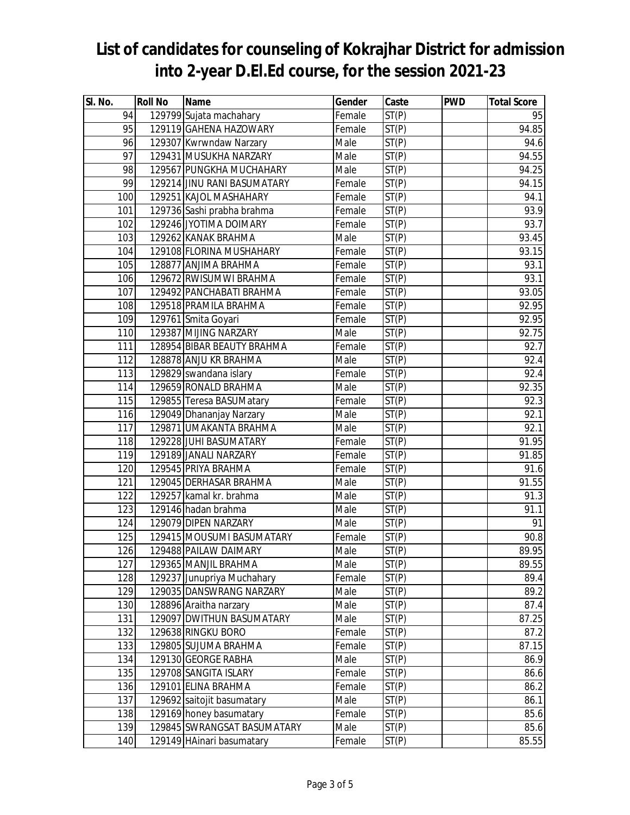| SI. No.          | <b>Roll No</b> | <b>Name</b>                 | Gender | Caste              | <b>PWD</b> | <b>Total Score</b> |
|------------------|----------------|-----------------------------|--------|--------------------|------------|--------------------|
| 94               |                | 129799 Sujata machahary     | Female | ST(P)              |            | 95                 |
| 95               |                | 129119 GAHENA HAZOWARY      | Female | ST(P)              |            | 94.85              |
| 96               |                | 129307 Kwrwndaw Narzary     | Male   | $\overline{ST(P)}$ |            | 94.6               |
| 97               |                | 129431 MUSUKHA NARZARY      | Male   | ST(P)              |            | 94.55              |
| 98               |                | 129567 PUNGKHA MUCHAHARY    | Male   | ST(P)              |            | 94.25              |
| 99               |                | 129214 JINU RANI BASUMATARY | Female | ST(P)              |            | 94.15              |
| 100              |                | 129251 KAJOL MASHAHARY      | Female | ST(P)              |            | 94.1               |
| 101              |                | 129736 Sashi prabha brahma  | Female | ST(P)              |            | 93.9               |
| 102              |                | 129246 JYOTIMA DOIMARY      | Female | ST(P)              |            | 93.7               |
| 103              |                | 129262 KANAK BRAHMA         | Male   | ST(P)              |            | 93.45              |
| 104              |                | 129108 FLORINA MUSHAHARY    | Female | ST(P)              |            | 93.15              |
| 105              |                | 128877 ANJIMA BRAHMA        | Female | ST(P)              |            | $\overline{93.1}$  |
| 106              |                | 129672 RWISUMWI BRAHMA      | Female | ST(P)              |            | 93.1               |
| 107              |                | 129492 PANCHABATI BRAHMA    | Female | ST(P)              |            | 93.05              |
| 108              |                | 129518 PRAMILA BRAHMA       | Female | ST(P)              |            | 92.95              |
| 109              |                | 129761 Smita Goyari         | Female | ST(P)              |            | 92.95              |
| 110              |                | 129387 MIJING NARZARY       | Male   | ST(P)              |            | 92.75              |
| 111              |                | 128954 BIBAR BEAUTY BRAHMA  | Female | ST(P)              |            | 92.7               |
| 112              |                | 128878 ANJU KR BRAHMA       | Male   | ST(P)              |            | $\overline{92.4}$  |
| 113              |                | 129829 swandana islary      | Female | ST(P)              |            | 92.4               |
| 114              |                | 129659 RONALD BRAHMA        | Male   | ST(P)              |            | 92.35              |
| 115              |                | 129855 Teresa BASUMatary    | Female | ST(P)              |            | 92.3               |
| 116              |                | 129049 Dhananjay Narzary    | Male   | ST(P)              |            | 92.1               |
| $\overline{1}17$ |                | 129871 UMAKANTA BRAHMA      | Male   | ST(P)              |            | 92.1               |
| 118              |                | 129228 JUHI BASUMATARY      | Female | ST(P)              |            | 91.95              |
| 119              |                | 129189 JANALI NARZARY       | Female | ST(P)              |            | 91.85              |
| 120              |                | 129545 PRIYA BRAHMA         | Female | ST(P)              |            | 91.6               |
| 121              |                | 129045 DERHASAR BRAHMA      | Male   | ST(P)              |            | 91.55              |
| 122              |                | 129257 kamal kr. brahma     | Male   | ST(P)              |            | 91.3               |
| 123              |                | 129146 hadan brahma         | Male   | ST(P)              |            | 91.1               |
| 124              |                | 129079 DIPEN NARZARY        | Male   | ST(P)              |            | 91                 |
| 125              |                | 129415 MOUSUMI BASUMATARY   | Female | ST(P)              |            | 90.8               |
| 126              |                | 129488 PAILAW DAIMARY       | Male   | ST(P)              |            | 89.95              |
| 127              |                | 129365 MANJIL BRAHMA        | Male   | ST(P)              |            | 89.55              |
| 128              |                | 129237 Junupriya Muchahary  | Female | ST(P)              |            | 89.4               |
| 129              |                | 129035 DANSWRANG NARZARY    | Male   | ST(P)              |            | 89.2               |
| 130              |                | 128896 Araitha narzary      | Male   | ST(P)              |            | 87.4               |
| 131              |                | 129097 DWITHUN BASUMATARY   | Male   | ST(P)              |            | 87.25              |
| 132              |                | 129638 RINGKU BORO          | Female | ST(P)              |            | 87.2               |
| 133              |                | 129805 SUJUMA BRAHMA        | Female | ST(P)              |            | 87.15              |
| 134              |                | 129130 GEORGE RABHA         | Male   | ST(P)              |            | 86.9               |
| 135              |                | 129708 SANGITA ISLARY       | Female | ST(P)              |            | 86.6               |
| 136              |                | 129101 ELINA BRAHMA         | Female | ST(P)              |            | 86.2               |
| 137              |                | 129692 saitojit basumatary  | Male   | ST(P)              |            | 86.1               |
| 138              |                | 129169 honey basumatary     | Female | ST(P)              |            | 85.6               |
| 139              |                | 129845 SWRANGSAT BASUMATARY | Male   | ST(P)              |            | 85.6               |
| 140              |                | 129149 HAinari basumatary   | Female | ST(P)              |            | 85.55              |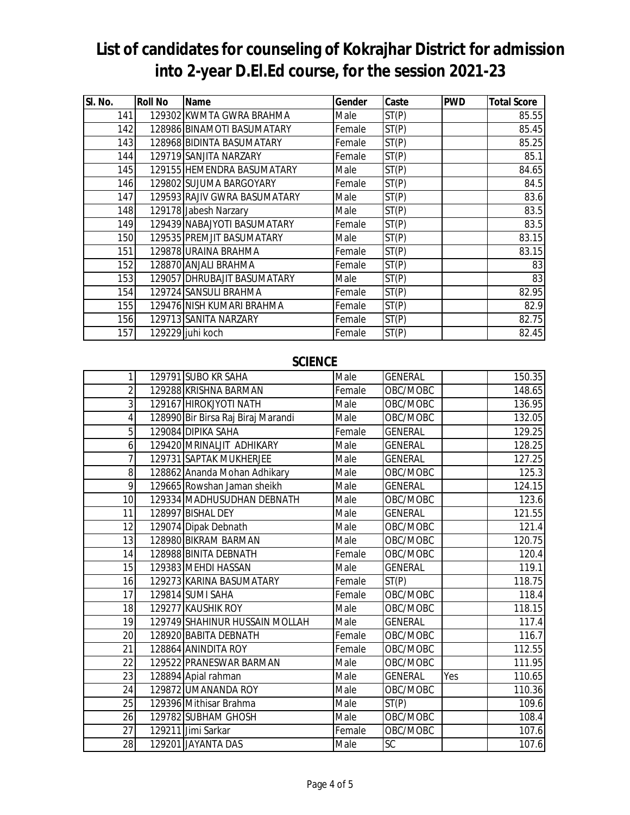| SI. No. | <b>Roll No</b> | <b>Name</b>                  | <b>Gender</b> | Caste | <b>PWD</b> | <b>Total Score</b> |
|---------|----------------|------------------------------|---------------|-------|------------|--------------------|
| 141     |                | 129302 KWMTA GWRA BRAHMA     | Male          | ST(P) |            | 85.55              |
| 142     |                | 128986 BINAMOTI BASUMATARY   | Female        | ST(P) |            | 85.45              |
| 143     |                | 128968 BIDINTA BASUMATARY    | Female        | ST(P) |            | 85.25              |
| 144     |                | 129719 SANJITA NARZARY       | Female        | ST(P) |            | 85.1               |
| 145     |                | 129155 HEMENDRA BASUMATARY   | Male          | ST(P) |            | 84.65              |
| 146     |                | 129802 SUJUMA BARGOYARY      | Female        | ST(P) |            | 84.5               |
| 147     |                | 129593 RAJIV GWRA BASUMATARY | Male          | ST(P) |            | 83.6               |
| 148     |                | 129178 Jabesh Narzary        | Male          | ST(P) |            | 83.5               |
| 149     |                | 129439 NABAJYOTI BASUMATARY  | Female        | ST(P) |            | 83.5               |
| 150     |                | 129535 PREMJIT BASUMATARY    | Male          | ST(P) |            | 83.15              |
| 151     |                | 129878 URAINA BRAHMA         | Female        | ST(P) |            | 83.15              |
| 152     |                | 128870 ANJALI BRAHMA         | Female        | ST(P) |            | 83                 |
| 153     |                | 129057 DHRUBAJIT BASUMATARY  | Male          | ST(P) |            | 83                 |
| 154     |                | 129724 SANSULI BRAHMA        | Female        | ST(P) |            | 82.95              |
| 155     |                | 129476 NISH KUMARI BRAHMA    | Female        | ST(P) |            | 82.9               |
| 156     |                | 129713 SANITA NARZARY        | Female        | ST(P) |            | 82.75              |
| 157     |                | 129229 juhi koch             | Female        | ST(P) |            | 82.45              |

#### **SCIENCE**

| 1               | 129791 SUBO KR SAHA                | Male   | <b>GENERAL</b> |     | 150.35 |
|-----------------|------------------------------------|--------|----------------|-----|--------|
| $\overline{2}$  | 129288 KRISHNA BARMAN              | Female | OBC/MOBC       |     | 148.65 |
| 3               | 129167 HIROKJYOTI NATH             | Male   | OBC/MOBC       |     | 136.95 |
| 4               | 128990 Bir Birsa Raj Biraj Marandi | Male   | OBC/MOBC       |     | 132.05 |
| 5               | 129084 DIPIKA SAHA                 | Female | <b>GENERAL</b> |     | 129.25 |
| 6               | 129420 MRINALJIT ADHIKARY          | Male   | <b>GENERAL</b> |     | 128.25 |
| 7               | 129731 SAPTAK MUKHERJEE            | Male   | <b>GENERAL</b> |     | 127.25 |
| 8               | 128862 Ananda Mohan Adhikary       | Male   | OBC/MOBC       |     | 125.3  |
| 9               | 129665 Rowshan Jaman sheikh        | Male   | <b>GENERAL</b> |     | 124.15 |
| 10              | 129334 MADHUSUDHAN DEBNATH         | Male   | OBC/MOBC       |     | 123.6  |
| 11              | 128997 BISHAL DEY                  | Male   | <b>GENERAL</b> |     | 121.55 |
| 12              | 129074 Dipak Debnath               | Male   | OBC/MOBC       |     | 121.4  |
| 13              | 128980 BIKRAM BARMAN               | Male   | OBC/MOBC       |     | 120.75 |
| 14              | 128988 BINITA DEBNATH              | Female | OBC/MOBC       |     | 120.4  |
| 15              | 129383 MEHDI HASSAN                | Male   | <b>GENERAL</b> |     | 119.1  |
| 16              | 129273 KARINA BASUMATARY           | Female | ST(P)          |     | 118.75 |
| 17              | 129814 SUMI SAHA                   | Female | OBC/MOBC       |     | 118.4  |
| 18              | 129277 KAUSHIK ROY                 | Male   | OBC/MOBC       |     | 118.15 |
| 19              | 129749 SHAHINUR HUSSAIN MOLLAH     | Male   | <b>GENERAL</b> |     | 117.4  |
| 20              | 128920 BABITA DEBNATH              | Female | OBC/MOBC       |     | 116.7  |
| 21              | 128864 ANINDITA ROY                | Female | OBC/MOBC       |     | 112.55 |
| 22              | 129522 PRANESWAR BARMAN            | Male   | OBC/MOBC       |     | 111.95 |
| 23              | 128894 Apial rahman                | Male   | <b>GENERAL</b> | Yes | 110.65 |
| 24              | 129872 UMANANDA ROY                | Male   | OBC/MOBC       |     | 110.36 |
| 25              | 129396 Mithisar Brahma             | Male   | ST(P)          |     | 109.6  |
| 26              | 129782 SUBHAM GHOSH                | Male   | OBC/MOBC       |     | 108.4  |
| $\overline{27}$ | 129211 Jimi Sarkar                 | Female | OBC/MOBC       |     | 107.6  |
| 28              | 129201 JAYANTA DAS                 | Male   | <b>SC</b>      |     | 107.6  |